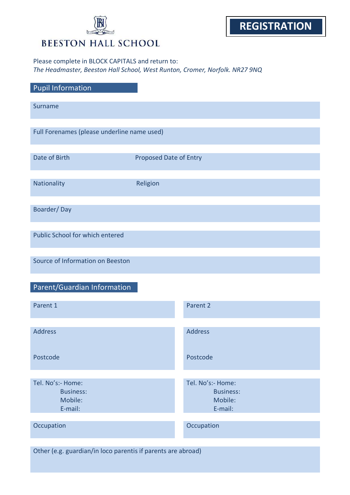# **BEESTON HALL SCHOOL**

## Please complete in BLOCK CAPITALS and return to: *The Headmaster, Beeston Hall School, West Runton, Cromer, Norfolk. NR27 9NQ*

| <b>Pupil Information</b>                                     |                               |                                                             |  |  |
|--------------------------------------------------------------|-------------------------------|-------------------------------------------------------------|--|--|
| Surname                                                      |                               |                                                             |  |  |
| Full Forenames (please underline name used)                  |                               |                                                             |  |  |
| Date of Birth                                                | <b>Proposed Date of Entry</b> |                                                             |  |  |
| Nationality                                                  | Religion                      |                                                             |  |  |
| Boarder/Day                                                  |                               |                                                             |  |  |
| Public School for which entered                              |                               |                                                             |  |  |
| Source of Information on Beeston                             |                               |                                                             |  |  |
| Parent/Guardian Information                                  |                               |                                                             |  |  |
| Parent 1                                                     |                               | Parent 2                                                    |  |  |
| <b>Address</b>                                               |                               | <b>Address</b>                                              |  |  |
| Postcode                                                     |                               | Postcode                                                    |  |  |
| Tel. No's:- Home:<br><b>Business:</b><br>Mobile:<br>E-mail:  |                               | Tel. No's:- Home:<br><b>Business:</b><br>Mobile:<br>E-mail: |  |  |
| Occupation                                                   |                               | Occupation                                                  |  |  |
| Other (e.g. guardian/in loco parentis if parents are abroad) |                               |                                                             |  |  |